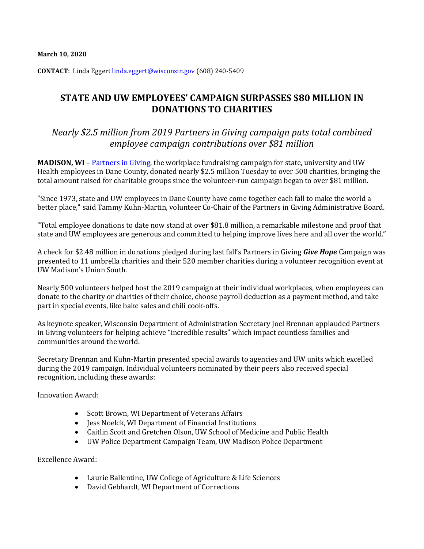**CONTACT**: Linda Eggert [linda.eggert@wisconsin.gov](mailto:linda.eggert@wisconsin.gov) (608) 240-5409

## **STATE AND UW EMPLOYEES' CAMPAIGN SURPASSES \$80 MILLION IN DONATIONS TO CHARITIES**

## *Nearly \$2.5 million from 2019 Partners in Giving campaign puts total combined employee campaign contributions over \$81 million*

**MADISON, WI** – [Partners in Giving,](https://giving.wi.gov/) the workplace fundraising campaign for state, university and UW Health employees in Dane County, donated nearly \$2.5 million Tuesday to over 500 charities, bringing the total amount raised for charitable groups since the volunteer-run campaign began to over \$81 million.

"Since 1973, state and UW employees in Dane County have come together each fall to make the world a better place," said Tammy Kuhn-Martin, volunteer Co-Chair of the Partners in Giving Administrative Board.

"Total employee donations to date now stand at over \$81.8 million, a remarkable milestone and proof that state and UW employees are generous and committed to helping improve lives here and all over the world."

A check for \$2.48 million in donations pledged during last fall's Partners in Giving *Give Hope* Campaign was presented to 11 umbrella charities and their 520 member charities during a volunteer recognition event at UW Madison's Union South.

Nearly 500 volunteers helped host the 2019 campaign at their individual workplaces, when employees can donate to the charity or charities of their choice, choose payroll deduction as a payment method, and take part in special events, like bake sales and chili cook-offs.

As keynote speaker, Wisconsin Department of Administration Secretary Joel Brennan applauded Partners in Giving volunteers for helping achieve "incredible results" which impact countless families and communities around the world.

Secretary Brennan and Kuhn-Martin presented special awards to agencies and UW units which excelled during the 2019 campaign. Individual volunteers nominated by their peers also received special recognition, including these awards:

Innovation Award:

- Scott Brown, WI Department of Veterans Affairs
- Jess Noelck, WI Department of Financial Institutions
- Caitlin Scott and Gretchen Olson, UW School of Medicine and Public Health
- UW Police Department Campaign Team, UW Madison Police Department

Excellence Award:

- Laurie Ballentine, UW College of Agriculture & Life Sciences
- David Gebhardt, WI Department of Corrections